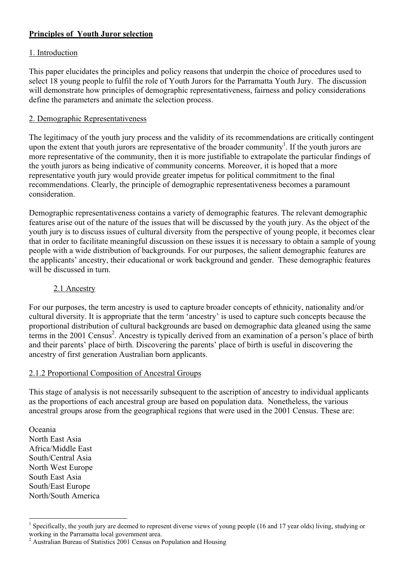# **Principles of Youth Juror selection**

#### 1. Introduction

This paper elucidates the principles and policy reasons that underpin the choice of procedures used to select 18 young people to fulfil the role of Youth Jurors for the Parramatta Youth Jury. The discussion will demonstrate how principles of demographic representativeness, fairness and policy considerations define the parameters and animate the selection process.

#### 2. Demographic Representativeness

The legitimacy of the youth jury process and the validity of its recommendations are critically contingent upon the extent that youth jurors are representative of the broader community<sup>1</sup>. If the youth jurors are more representative of the community, then it is more justifiable to extrapolate the particular findings of the youth jurors as being indicative of community concerns. Moreover, it is hoped that a more representative youth jury would provide greater impetus for political commitment to the final recommendations. Clearly, the principle of demographic representativeness becomes a paramount consideration.

Demographic representativeness contains a variety of demographic features. The relevant demographic features arise out of the nature of the issues that will be discussed by the youth jury. As the object of the youth jury is to discuss issues of cultural diversity from the perspective of young people, it becomes clear that in order to facilitate meaningful discussion on these issues it is necessary to obtain a sample of young people with a wide distribution of backgrounds. For our purposes, the salient demographic features are the applicants' ancestry, their educational or work background and gender. These demographic features will be discussed in turn.

#### 2.1 Ancestry

For our purposes, the term ancestry is used to capture broader concepts of ethnicity, nationality and/or cultural diversity. It is appropriate that the term 'ancestry' is used to capture such concepts because the proportional distribution of cultural backgrounds are based on demographic data gleaned using the same terms in the 2001 Census<sup>2</sup>. Ancestry is typically derived from an examination of a person's place of birth and their parents' place of birth. Discovering the parents' place of birth is useful in discovering the ancestry of first generation Australian born applicants.

# 2.1.2 Proportional Composition of Ancestral Groups

This stage of analysis is not necessarily subsequent to the ascription of ancestry to individual applicants as the proportions of each ancestral group are based on population data. Nonetheless, the various ancestral groups arose from the geographical regions that were used in the 2001 Census. These are:

Oceania North East Asia Africa/Middle East South/Central Asia North West Europe South East Asia South/East Europe North/South America

 $\frac{1}{1}$ <sup>1</sup> Specifically, the youth jury are deemed to represent diverse views of young people (16 and 17 year olds) living, studying or working in the Parramatta local government area.

<sup>&</sup>lt;sup>2</sup> Australian Bureau of Statistics 2001 Census on Population and Housing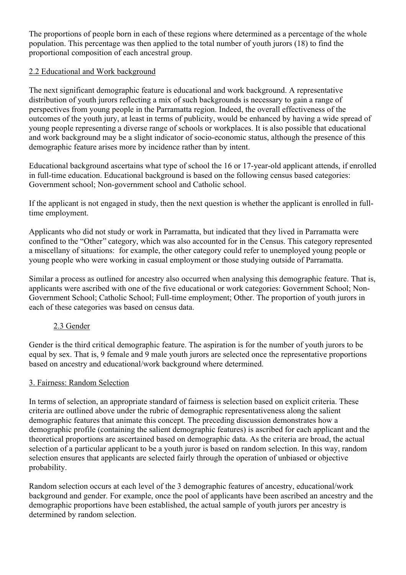The proportions of people born in each of these regions where determined as a percentage of the whole population. This percentage was then applied to the total number of youth jurors (18) to find the proportional composition of each ancestral group.

#### 2.2 Educational and Work background

The next significant demographic feature is educational and work background. A representative distribution of youth jurors reflecting a mix of such backgrounds is necessary to gain a range of perspectives from young people in the Parramatta region. Indeed, the overall effectiveness of the outcomes of the youth jury, at least in terms of publicity, would be enhanced by having a wide spread of young people representing a diverse range of schools or workplaces. It is also possible that educational and work background may be a slight indicator of socio-economic status, although the presence of this demographic feature arises more by incidence rather than by intent.

Educational background ascertains what type of school the 16 or 17-year-old applicant attends, if enrolled in full-time education. Educational background is based on the following census based categories: Government school; Non-government school and Catholic school.

If the applicant is not engaged in study, then the next question is whether the applicant is enrolled in fulltime employment.

Applicants who did not study or work in Parramatta, but indicated that they lived in Parramatta were confined to the "Other" category, which was also accounted for in the Census. This category represented a miscellany of situations: for example, the other category could refer to unemployed young people or young people who were working in casual employment or those studying outside of Parramatta.

Similar a process as outlined for ancestry also occurred when analysing this demographic feature. That is, applicants were ascribed with one of the five educational or work categories: Government School; Non-Government School; Catholic School; Full-time employment; Other. The proportion of youth jurors in each of these categories was based on census data.

# 2.3 Gender

Gender is the third critical demographic feature. The aspiration is for the number of youth jurors to be equal by sex. That is, 9 female and 9 male youth jurors are selected once the representative proportions based on ancestry and educational/work background where determined.

# 3. Fairness: Random Selection

In terms of selection, an appropriate standard of fairness is selection based on explicit criteria. These criteria are outlined above under the rubric of demographic representativeness along the salient demographic features that animate this concept. The preceding discussion demonstrates how a demographic profile (containing the salient demographic features) is ascribed for each applicant and the theoretical proportions are ascertained based on demographic data. As the criteria are broad, the actual selection of a particular applicant to be a youth juror is based on random selection. In this way, random selection ensures that applicants are selected fairly through the operation of unbiased or objective probability.

Random selection occurs at each level of the 3 demographic features of ancestry, educational/work background and gender. For example, once the pool of applicants have been ascribed an ancestry and the demographic proportions have been established, the actual sample of youth jurors per ancestry is determined by random selection.